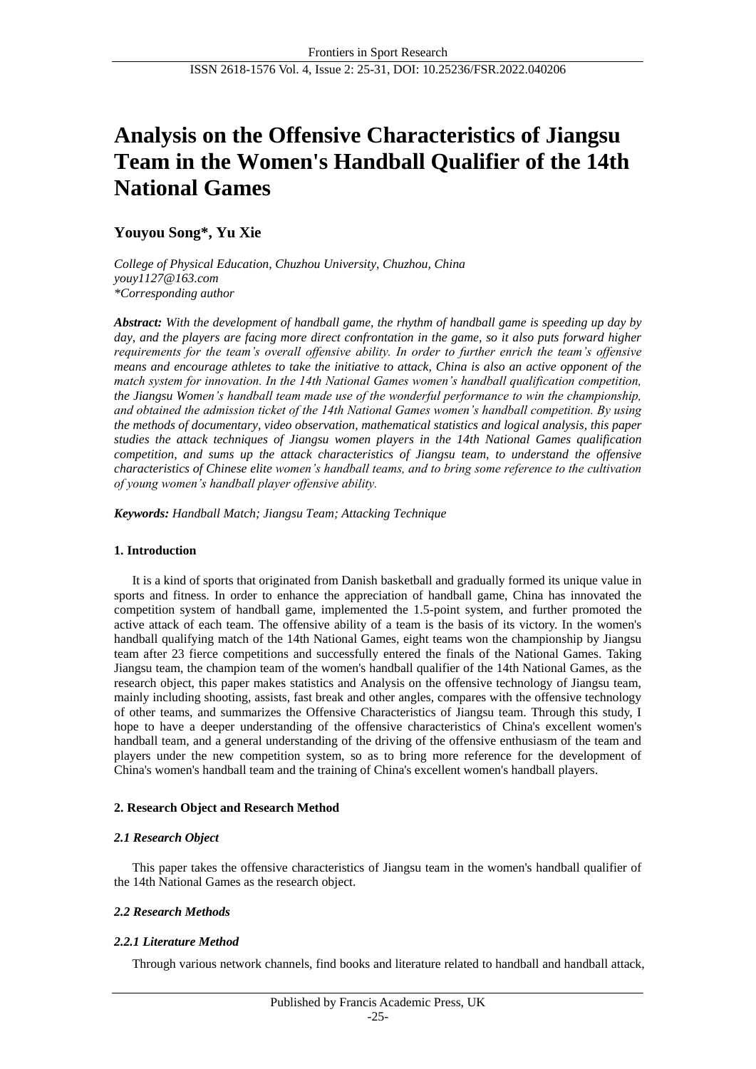# **Analysis on the Offensive Characteristics of Jiangsu Team in the Women's Handball Qualifier of the 14th National Games**

# **Youyou Song\*, Yu Xie**

*College of Physical Education, Chuzhou University, Chuzhou, China youy1127@163.com \*Corresponding author*

*Abstract: With the development of handball game, the rhythm of handball game is speeding up day by day, and the players are facing more direct confrontation in the game, so it also puts forward higher requirements for the team's overall offensive ability. In order to further enrich the team's offensive means and encourage athletes to take the initiative to attack, China is also an active opponent of the match system for innovation. In the 14th National Games women's handball qualification competition, the Jiangsu Women's handball team made use of the wonderful performance to win the championship, and obtained the admission ticket of the 14th National Games women's handball competition. By using the methods of documentary, video observation, mathematical statistics and logical analysis, this paper studies the attack techniques of Jiangsu women players in the 14th National Games qualification competition, and sums up the attack characteristics of Jiangsu team, to understand the offensive characteristics of Chinese elite women's handball teams, and to bring some reference to the cultivation of young women's handball player offensive ability.*

*Keywords: Handball Match; Jiangsu Team; Attacking Technique*

# **1. Introduction**

It is a kind of sports that originated from Danish basketball and gradually formed its unique value in sports and fitness. In order to enhance the appreciation of handball game, China has innovated the competition system of handball game, implemented the 1.5-point system, and further promoted the active attack of each team. The offensive ability of a team is the basis of its victory. In the women's handball qualifying match of the 14th National Games, eight teams won the championship by Jiangsu team after 23 fierce competitions and successfully entered the finals of the National Games. Taking Jiangsu team, the champion team of the women's handball qualifier of the 14th National Games, as the research object, this paper makes statistics and Analysis on the offensive technology of Jiangsu team, mainly including shooting, assists, fast break and other angles, compares with the offensive technology of other teams, and summarizes the Offensive Characteristics of Jiangsu team. Through this study, I hope to have a deeper understanding of the offensive characteristics of China's excellent women's handball team, and a general understanding of the driving of the offensive enthusiasm of the team and players under the new competition system, so as to bring more reference for the development of China's women's handball team and the training of China's excellent women's handball players.

# **2. Research Object and Research Method**

## *2.1 Research Object*

This paper takes the offensive characteristics of Jiangsu team in the women's handball qualifier of the 14th National Games as the research object.

# *2.2 Research Methods*

# *2.2.1 Literature Method*

Through various network channels, find books and literature related to handball and handball attack,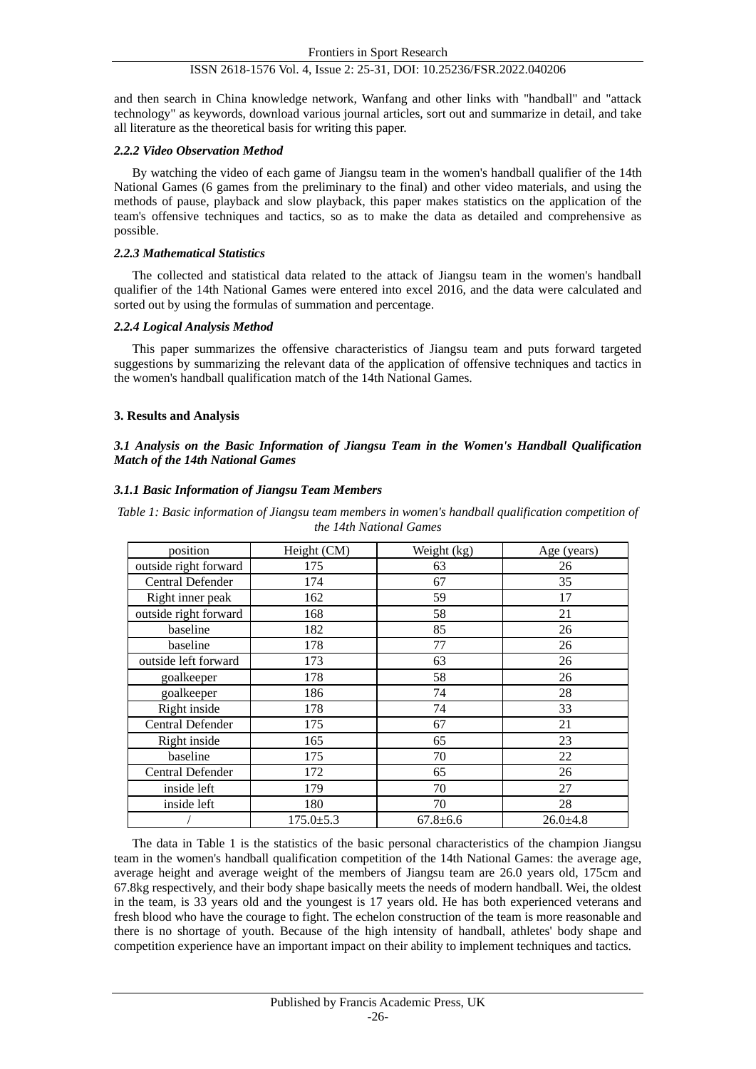and then search in China knowledge network, Wanfang and other links with "handball" and "attack technology" as keywords, download various journal articles, sort out and summarize in detail, and take all literature as the theoretical basis for writing this paper.

#### *2.2.2 Video Observation Method*

By watching the video of each game of Jiangsu team in the women's handball qualifier of the 14th National Games (6 games from the preliminary to the final) and other video materials, and using the methods of pause, playback and slow playback, this paper makes statistics on the application of the team's offensive techniques and tactics, so as to make the data as detailed and comprehensive as possible.

#### *2.2.3 Mathematical Statistics*

The collected and statistical data related to the attack of Jiangsu team in the women's handball qualifier of the 14th National Games were entered into excel 2016, and the data were calculated and sorted out by using the formulas of summation and percentage.

## *2.2.4 Logical Analysis Method*

This paper summarizes the offensive characteristics of Jiangsu team and puts forward targeted suggestions by summarizing the relevant data of the application of offensive techniques and tactics in the women's handball qualification match of the 14th National Games.

## **3. Results and Analysis**

# *3.1 Analysis on the Basic Information of Jiangsu Team in the Women's Handball Qualification Match of the 14th National Games*

## *3.1.1 Basic Information of Jiangsu Team Members*

*Table 1: Basic information of Jiangsu team members in women's handball qualification competition of the 14th National Games*

| position              | Height (CM)     | Weight (kg)  | Age (years)  |
|-----------------------|-----------------|--------------|--------------|
| outside right forward | 175             | 63           | 26           |
| Central Defender      | 174             | 67           | 35           |
| Right inner peak      | 162             | 59           | 17           |
| outside right forward | 168             | 58           | 21           |
| baseline              | 182             | 85           | 26           |
| baseline              | 178             | 77           | 26           |
| outside left forward  | 173             | 63           | 26           |
| goalkeeper            | 178             | 58           | 26           |
| goalkeeper            | 186             | 74           | 28           |
| Right inside          | 178             | 74           | 33           |
| Central Defender      | 175             | 67           | 21           |
| Right inside          | 165             | 65           | 23           |
| baseline              | 175             | 70           | 22           |
| Central Defender      | 172             | 65           | 26           |
| inside left           | 179             | 70           | 27           |
| inside left           | 180             | 70           | 28           |
|                       | $175.0 \pm 5.3$ | $67.8 + 6.6$ | $26.0 + 4.8$ |

The data in Table 1 is the statistics of the basic personal characteristics of the champion Jiangsu team in the women's handball qualification competition of the 14th National Games: the average age, average height and average weight of the members of Jiangsu team are 26.0 years old, 175cm and 67.8kg respectively, and their body shape basically meets the needs of modern handball. Wei, the oldest in the team, is 33 years old and the youngest is 17 years old. He has both experienced veterans and fresh blood who have the courage to fight. The echelon construction of the team is more reasonable and there is no shortage of youth. Because of the high intensity of handball, athletes' body shape and competition experience have an important impact on their ability to implement techniques and tactics.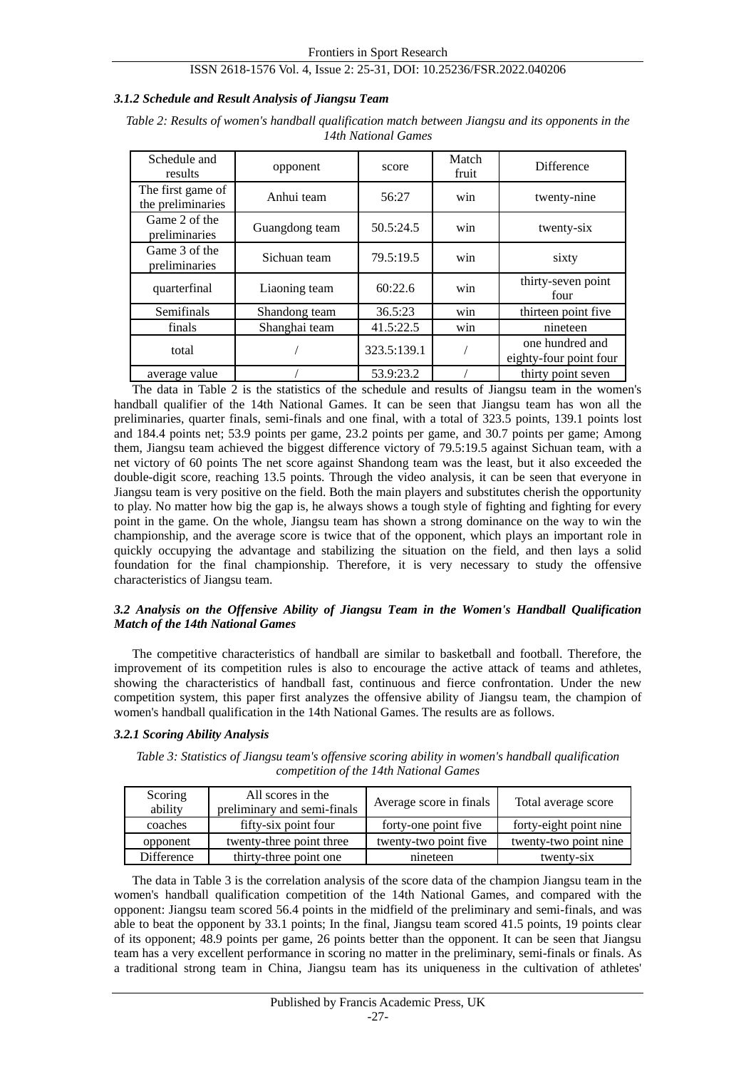#### *3.1.2 Schedule and Result Analysis of Jiangsu Team*

*Table 2: Results of women's handball qualification match between Jiangsu and its opponents in the 14th National Games*

| Schedule and<br>results                | opponent       | score       | Match<br>fruit | <b>Difference</b>                         |
|----------------------------------------|----------------|-------------|----------------|-------------------------------------------|
| The first game of<br>the preliminaries | Anhui team     | 56:27       | win            | twenty-nine                               |
| Game 2 of the<br>preliminaries         | Guangdong team | 50.5:24.5   | win            | twenty-six                                |
| Game 3 of the<br>preliminaries         | Sichuan team   | 79.5:19.5   | win            | sixty                                     |
| quarterfinal                           | Liaoning team  | 60:22.6     | win            | thirty-seven point<br>four                |
| Semifinals                             | Shandong team  | 36.5:23     | win            | thirteen point five                       |
| finals                                 | Shanghai team  | 41.5:22.5   | win            | nineteen                                  |
| total                                  |                | 323.5:139.1 |                | one hundred and<br>eighty-four point four |
| average value                          |                | 53.9:23.2   |                | thirty point seven                        |

The data in Table 2 is the statistics of the schedule and results of Jiangsu team in the women's handball qualifier of the 14th National Games. It can be seen that Jiangsu team has won all the preliminaries, quarter finals, semi-finals and one final, with a total of 323.5 points, 139.1 points lost and 184.4 points net; 53.9 points per game, 23.2 points per game, and 30.7 points per game; Among them, Jiangsu team achieved the biggest difference victory of 79.5:19.5 against Sichuan team, with a net victory of 60 points The net score against Shandong team was the least, but it also exceeded the double-digit score, reaching 13.5 points. Through the video analysis, it can be seen that everyone in Jiangsu team is very positive on the field. Both the main players and substitutes cherish the opportunity to play. No matter how big the gap is, he always shows a tough style of fighting and fighting for every point in the game. On the whole, Jiangsu team has shown a strong dominance on the way to win the championship, and the average score is twice that of the opponent, which plays an important role in quickly occupying the advantage and stabilizing the situation on the field, and then lays a solid foundation for the final championship. Therefore, it is very necessary to study the offensive characteristics of Jiangsu team.

#### *3.2 Analysis on the Offensive Ability of Jiangsu Team in the Women's Handball Qualification Match of the 14th National Games*

The competitive characteristics of handball are similar to basketball and football. Therefore, the improvement of its competition rules is also to encourage the active attack of teams and athletes, showing the characteristics of handball fast, continuous and fierce confrontation. Under the new competition system, this paper first analyzes the offensive ability of Jiangsu team, the champion of women's handball qualification in the 14th National Games. The results are as follows.

## *3.2.1 Scoring Ability Analysis*

*Table 3: Statistics of Jiangsu team's offensive scoring ability in women's handball qualification competition of the 14th National Games*

| Scoring<br>ability | All scores in the<br>preliminary and semi-finals | Average score in finals | Total average score    |
|--------------------|--------------------------------------------------|-------------------------|------------------------|
| coaches            | fifty-six point four                             | forty-one point five    | forty-eight point nine |
| opponent           | twenty-three point three                         | twenty-two point five   | twenty-two point nine  |
| Difference         | thirty-three point one                           | nineteen                | twenty-six             |

The data in Table 3 is the correlation analysis of the score data of the champion Jiangsu team in the women's handball qualification competition of the 14th National Games, and compared with the opponent: Jiangsu team scored 56.4 points in the midfield of the preliminary and semi-finals, and was able to beat the opponent by 33.1 points; In the final, Jiangsu team scored 41.5 points, 19 points clear of its opponent; 48.9 points per game, 26 points better than the opponent. It can be seen that Jiangsu team has a very excellent performance in scoring no matter in the preliminary, semi-finals or finals. As a traditional strong team in China, Jiangsu team has its uniqueness in the cultivation of athletes'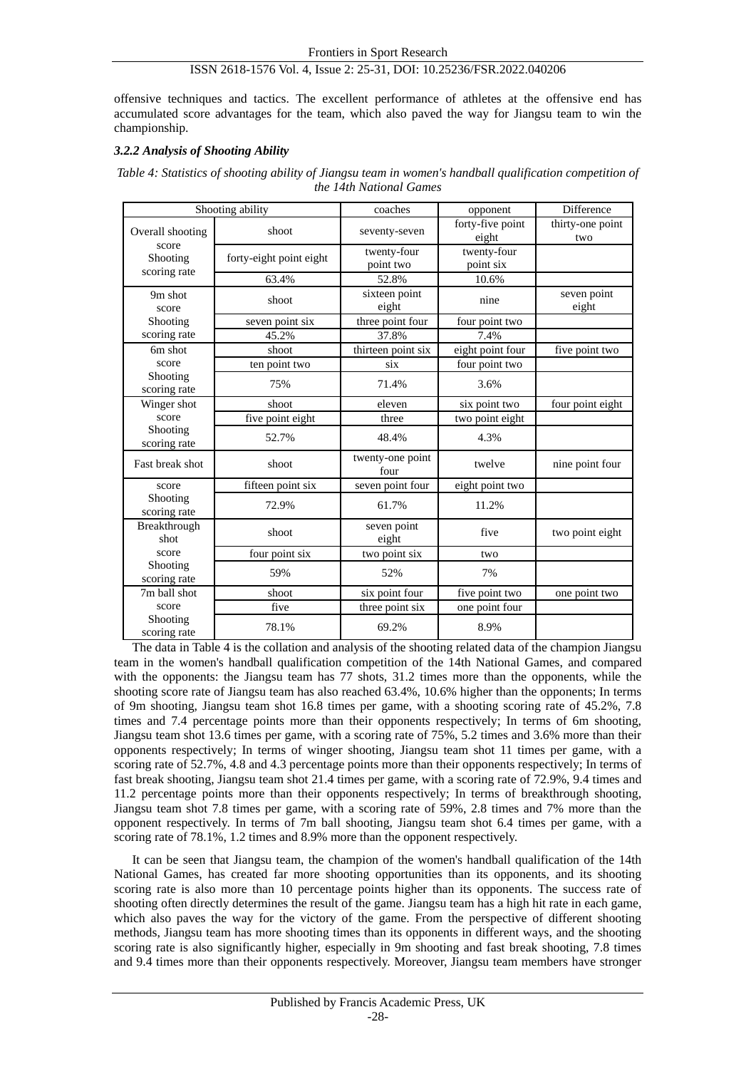offensive techniques and tactics. The excellent performance of athletes at the offensive end has accumulated score advantages for the team, which also paved the way for Jiangsu team to win the championship.

# *3.2.2 Analysis of Shooting Ability*

| Table 4: Statistics of shooting ability of Jiangsu team in women's handball qualification competition of |  |
|----------------------------------------------------------------------------------------------------------|--|
| the 14th National Games                                                                                  |  |

| Shooting ability                  |                         | coaches                  | opponent                  | Difference              |
|-----------------------------------|-------------------------|--------------------------|---------------------------|-------------------------|
| Overall shooting                  | shoot                   | seventy-seven            | forty-five point<br>eight | thirty-one point<br>two |
| score<br>Shooting<br>scoring rate | forty-eight point eight | twenty-four<br>point two | twenty-four<br>point six  |                         |
|                                   | 63.4%                   | 52.8%                    | 10.6%                     |                         |
| 9m shot<br>score                  | shoot                   | sixteen point<br>eight   | nine                      | seven point<br>eight    |
| Shooting                          | seven point six         | three point four         | four point two            |                         |
| scoring rate                      | 45.2%                   | 37.8%                    | 7.4%                      |                         |
| 6m shot                           | shoot                   | thirteen point six       | eight point four          | five point two          |
| score                             | ten point two           | six                      | four point two            |                         |
| Shooting<br>scoring rate          | 75%                     | 71.4%                    | 3.6%                      |                         |
| Winger shot                       | shoot                   | eleven                   | six point two             | four point eight        |
| score                             | five point eight        | three                    | two point eight           |                         |
| Shooting<br>scoring rate          | 52.7%                   | 48.4%                    | 4.3%                      |                         |
| Fast break shot                   | shoot                   | twenty-one point<br>four | twelve                    | nine point four         |
| score                             | fifteen point six       | seven point four         | eight point two           |                         |
| Shooting<br>scoring rate          | 72.9%                   | 61.7%                    | 11.2%                     |                         |
| Breakthrough<br>shot              | shoot                   | seven point<br>eight     | five                      | two point eight         |
| score                             | four point six          | two point six            | two                       |                         |
| Shooting<br>scoring rate          | 59%                     | 52%                      | 7%                        |                         |
| 7m ball shot                      | shoot                   | six point four           | five point two            | one point two           |
| score                             | five                    | three point six          | one point four            |                         |
| Shooting<br>scoring rate          | 78.1%                   | 69.2%                    | 8.9%                      |                         |

The data in Table 4 is the collation and analysis of the shooting related data of the champion Jiangsu team in the women's handball qualification competition of the 14th National Games, and compared with the opponents: the Jiangsu team has 77 shots, 31.2 times more than the opponents, while the shooting score rate of Jiangsu team has also reached 63.4%, 10.6% higher than the opponents; In terms of 9m shooting, Jiangsu team shot 16.8 times per game, with a shooting scoring rate of 45.2%, 7.8 times and 7.4 percentage points more than their opponents respectively; In terms of 6m shooting, Jiangsu team shot 13.6 times per game, with a scoring rate of 75%, 5.2 times and 3.6% more than their opponents respectively; In terms of winger shooting, Jiangsu team shot 11 times per game, with a scoring rate of 52.7%, 4.8 and 4.3 percentage points more than their opponents respectively; In terms of fast break shooting, Jiangsu team shot 21.4 times per game, with a scoring rate of 72.9%, 9.4 times and 11.2 percentage points more than their opponents respectively; In terms of breakthrough shooting, Jiangsu team shot 7.8 times per game, with a scoring rate of 59%, 2.8 times and 7% more than the opponent respectively. In terms of 7m ball shooting, Jiangsu team shot 6.4 times per game, with a scoring rate of 78.1%, 1.2 times and 8.9% more than the opponent respectively.

It can be seen that Jiangsu team, the champion of the women's handball qualification of the 14th National Games, has created far more shooting opportunities than its opponents, and its shooting scoring rate is also more than 10 percentage points higher than its opponents. The success rate of shooting often directly determines the result of the game. Jiangsu team has a high hit rate in each game, which also paves the way for the victory of the game. From the perspective of different shooting methods, Jiangsu team has more shooting times than its opponents in different ways, and the shooting scoring rate is also significantly higher, especially in 9m shooting and fast break shooting, 7.8 times and 9.4 times more than their opponents respectively. Moreover, Jiangsu team members have stronger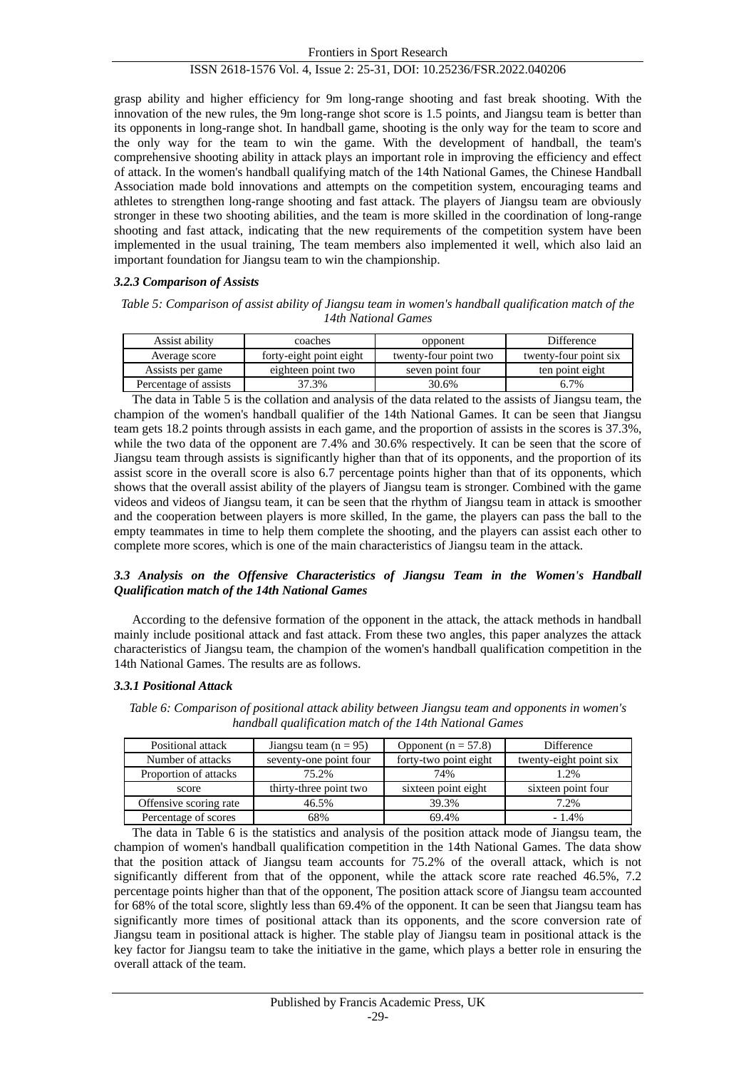grasp ability and higher efficiency for 9m long-range shooting and fast break shooting. With the innovation of the new rules, the 9m long-range shot score is 1.5 points, and Jiangsu team is better than its opponents in long-range shot. In handball game, shooting is the only way for the team to score and the only way for the team to win the game. With the development of handball, the team's comprehensive shooting ability in attack plays an important role in improving the efficiency and effect of attack. In the women's handball qualifying match of the 14th National Games, the Chinese Handball Association made bold innovations and attempts on the competition system, encouraging teams and athletes to strengthen long-range shooting and fast attack. The players of Jiangsu team are obviously stronger in these two shooting abilities, and the team is more skilled in the coordination of long-range shooting and fast attack, indicating that the new requirements of the competition system have been implemented in the usual training, The team members also implemented it well, which also laid an important foundation for Jiangsu team to win the championship.

#### *3.2.3 Comparison of Assists*

*Table 5: Comparison of assist ability of Jiangsu team in women's handball qualification match of the 14th National Games*

| Assist ability        | coaches                 | opponent              | Difference            |
|-----------------------|-------------------------|-----------------------|-----------------------|
| Average score         | forty-eight point eight | twenty-four point two | twenty-four point six |
| Assists per game      | eighteen point two      | seven point four      | ten point eight       |
| Percentage of assists | 37.3%                   | 30.6%                 | 6.7%                  |

The data in Table 5 is the collation and analysis of the data related to the assists of Jiangsu team, the champion of the women's handball qualifier of the 14th National Games. It can be seen that Jiangsu team gets 18.2 points through assists in each game, and the proportion of assists in the scores is 37.3%, while the two data of the opponent are 7.4% and 30.6% respectively. It can be seen that the score of Jiangsu team through assists is significantly higher than that of its opponents, and the proportion of its assist score in the overall score is also 6.7 percentage points higher than that of its opponents, which shows that the overall assist ability of the players of Jiangsu team is stronger. Combined with the game videos and videos of Jiangsu team, it can be seen that the rhythm of Jiangsu team in attack is smoother and the cooperation between players is more skilled, In the game, the players can pass the ball to the empty teammates in time to help them complete the shooting, and the players can assist each other to complete more scores, which is one of the main characteristics of Jiangsu team in the attack.

# *3.3 Analysis on the Offensive Characteristics of Jiangsu Team in the Women's Handball Qualification match of the 14th National Games*

According to the defensive formation of the opponent in the attack, the attack methods in handball mainly include positional attack and fast attack. From these two angles, this paper analyzes the attack characteristics of Jiangsu team, the champion of the women's handball qualification competition in the 14th National Games. The results are as follows.

#### *3.3.1 Positional Attack*

| Positional attack      | Jiangsu team ( $n = 95$ ) | Opponent ( $n = 57.8$ ) | Difference             |
|------------------------|---------------------------|-------------------------|------------------------|
| Number of attacks      | seventy-one point four    | forty-two point eight   | twenty-eight point six |
| Proportion of attacks  | 75.2%                     | 74%                     | 1.2%                   |
| score                  | thirty-three point two    | sixteen point eight     | sixteen point four     |
| Offensive scoring rate | 46.5%                     | 39.3%                   | 7.2%                   |
| Percentage of scores   | 68%                       | 69.4%                   | $-1.4\%$               |

*Table 6: Comparison of positional attack ability between Jiangsu team and opponents in women's handball qualification match of the 14th National Games*

The data in Table 6 is the statistics and analysis of the position attack mode of Jiangsu team, the champion of women's handball qualification competition in the 14th National Games. The data show that the position attack of Jiangsu team accounts for 75.2% of the overall attack, which is not significantly different from that of the opponent, while the attack score rate reached 46.5%, 7.2 percentage points higher than that of the opponent, The position attack score of Jiangsu team accounted for 68% of the total score, slightly less than 69.4% of the opponent. It can be seen that Jiangsu team has significantly more times of positional attack than its opponents, and the score conversion rate of Jiangsu team in positional attack is higher. The stable play of Jiangsu team in positional attack is the key factor for Jiangsu team to take the initiative in the game, which plays a better role in ensuring the overall attack of the team.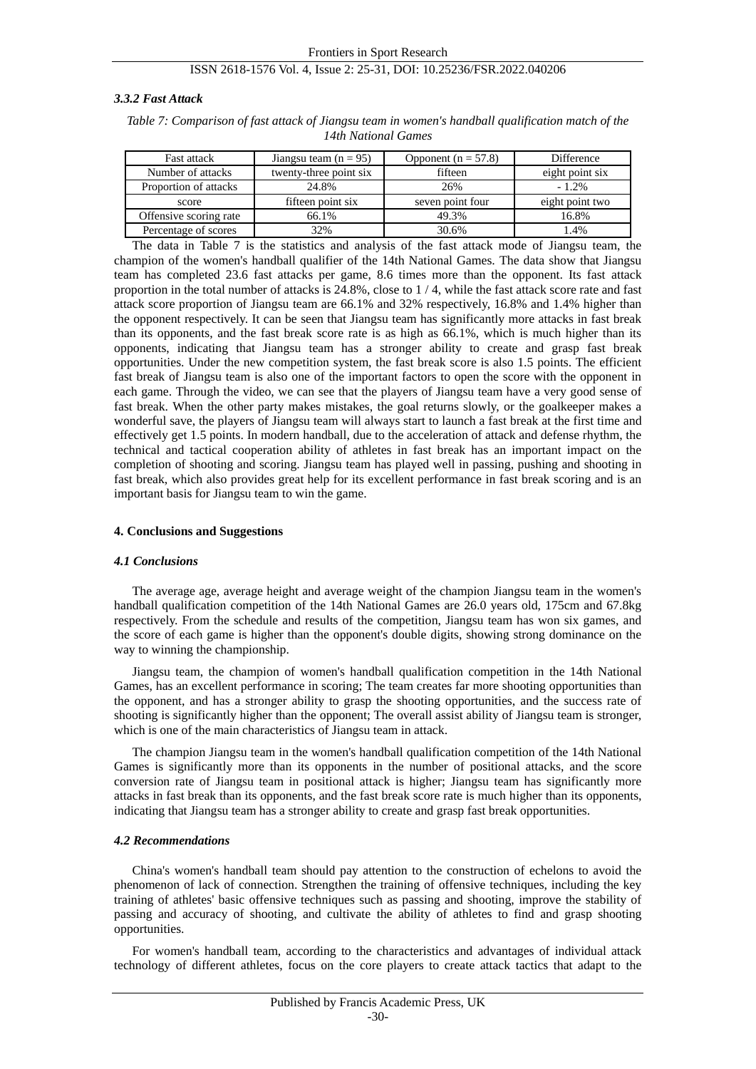#### *3.3.2 Fast Attack*

| Table 7: Comparison of fast attack of Jiangsu team in women's handball qualification match of the |  |
|---------------------------------------------------------------------------------------------------|--|
| 14th National Games                                                                               |  |

| <b>Fast attack</b>     | Jiangsu team ( $n = 95$ ) | Opponent ( $n = 57.8$ ) | Difference      |
|------------------------|---------------------------|-------------------------|-----------------|
| Number of attacks      | twenty-three point six    | fifteen                 | eight point six |
| Proportion of attacks  | 24.8%                     | 26%                     | $-1.2\%$        |
| score                  | fifteen point six         | seven point four        | eight point two |
| Offensive scoring rate | 66.1%                     | 49.3%                   | 16.8%           |
| Percentage of scores   | 32%                       | 30.6%                   | 1.4%            |

The data in Table 7 is the statistics and analysis of the fast attack mode of Jiangsu team, the champion of the women's handball qualifier of the 14th National Games. The data show that Jiangsu team has completed 23.6 fast attacks per game, 8.6 times more than the opponent. Its fast attack proportion in the total number of attacks is 24.8%, close to 1 / 4, while the fast attack score rate and fast attack score proportion of Jiangsu team are 66.1% and 32% respectively, 16.8% and 1.4% higher than the opponent respectively. It can be seen that Jiangsu team has significantly more attacks in fast break than its opponents, and the fast break score rate is as high as 66.1%, which is much higher than its opponents, indicating that Jiangsu team has a stronger ability to create and grasp fast break opportunities. Under the new competition system, the fast break score is also 1.5 points. The efficient fast break of Jiangsu team is also one of the important factors to open the score with the opponent in each game. Through the video, we can see that the players of Jiangsu team have a very good sense of fast break. When the other party makes mistakes, the goal returns slowly, or the goalkeeper makes a wonderful save, the players of Jiangsu team will always start to launch a fast break at the first time and effectively get 1.5 points. In modern handball, due to the acceleration of attack and defense rhythm, the technical and tactical cooperation ability of athletes in fast break has an important impact on the completion of shooting and scoring. Jiangsu team has played well in passing, pushing and shooting in fast break, which also provides great help for its excellent performance in fast break scoring and is an important basis for Jiangsu team to win the game.

#### **4. Conclusions and Suggestions**

#### *4.1 Conclusions*

The average age, average height and average weight of the champion Jiangsu team in the women's handball qualification competition of the 14th National Games are 26.0 years old, 175cm and 67.8kg respectively. From the schedule and results of the competition, Jiangsu team has won six games, and the score of each game is higher than the opponent's double digits, showing strong dominance on the way to winning the championship.

Jiangsu team, the champion of women's handball qualification competition in the 14th National Games, has an excellent performance in scoring; The team creates far more shooting opportunities than the opponent, and has a stronger ability to grasp the shooting opportunities, and the success rate of shooting is significantly higher than the opponent; The overall assist ability of Jiangsu team is stronger, which is one of the main characteristics of Jiangsu team in attack.

The champion Jiangsu team in the women's handball qualification competition of the 14th National Games is significantly more than its opponents in the number of positional attacks, and the score conversion rate of Jiangsu team in positional attack is higher; Jiangsu team has significantly more attacks in fast break than its opponents, and the fast break score rate is much higher than its opponents, indicating that Jiangsu team has a stronger ability to create and grasp fast break opportunities.

#### *4.2 Recommendations*

China's women's handball team should pay attention to the construction of echelons to avoid the phenomenon of lack of connection. Strengthen the training of offensive techniques, including the key training of athletes' basic offensive techniques such as passing and shooting, improve the stability of passing and accuracy of shooting, and cultivate the ability of athletes to find and grasp shooting opportunities.

For women's handball team, according to the characteristics and advantages of individual attack technology of different athletes, focus on the core players to create attack tactics that adapt to the